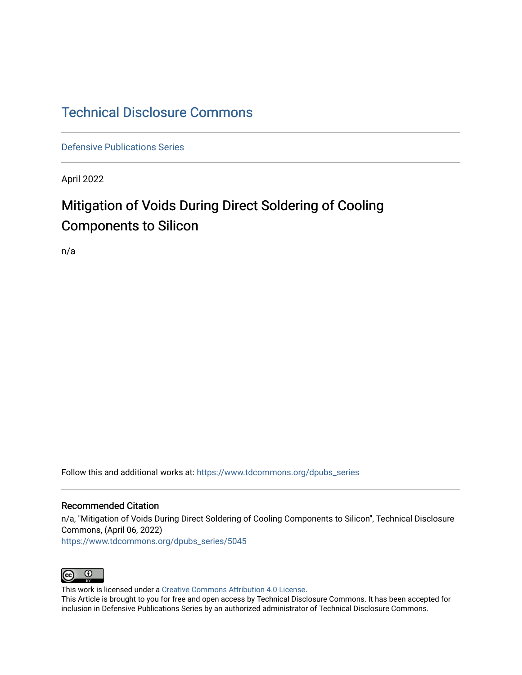# [Technical Disclosure Commons](https://www.tdcommons.org/)

[Defensive Publications Series](https://www.tdcommons.org/dpubs_series)

April 2022

# Mitigation of Voids During Direct Soldering of Cooling Components to Silicon

n/a

Follow this and additional works at: [https://www.tdcommons.org/dpubs\\_series](https://www.tdcommons.org/dpubs_series?utm_source=www.tdcommons.org%2Fdpubs_series%2F5045&utm_medium=PDF&utm_campaign=PDFCoverPages) 

# Recommended Citation

n/a, "Mitigation of Voids During Direct Soldering of Cooling Components to Silicon", Technical Disclosure Commons, (April 06, 2022) [https://www.tdcommons.org/dpubs\\_series/5045](https://www.tdcommons.org/dpubs_series/5045?utm_source=www.tdcommons.org%2Fdpubs_series%2F5045&utm_medium=PDF&utm_campaign=PDFCoverPages)



This work is licensed under a [Creative Commons Attribution 4.0 License](http://creativecommons.org/licenses/by/4.0/deed.en_US).

This Article is brought to you for free and open access by Technical Disclosure Commons. It has been accepted for inclusion in Defensive Publications Series by an authorized administrator of Technical Disclosure Commons.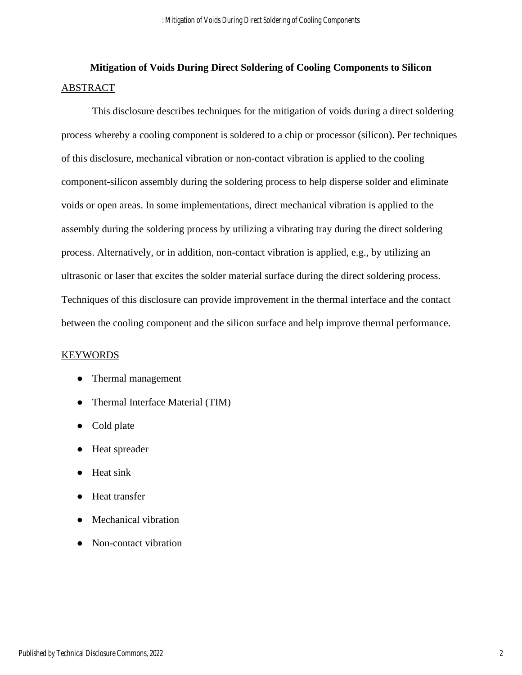# **Mitigation of Voids During Direct Soldering of Cooling Components to Silicon** ABSTRACT

This disclosure describes techniques for the mitigation of voids during a direct soldering process whereby a cooling component is soldered to a chip or processor (silicon). Per techniques of this disclosure, mechanical vibration or non-contact vibration is applied to the cooling component-silicon assembly during the soldering process to help disperse solder and eliminate voids or open areas. In some implementations, direct mechanical vibration is applied to the assembly during the soldering process by utilizing a vibrating tray during the direct soldering process. Alternatively, or in addition, non-contact vibration is applied, e.g., by utilizing an ultrasonic or laser that excites the solder material surface during the direct soldering process. Techniques of this disclosure can provide improvement in the thermal interface and the contact between the cooling component and the silicon surface and help improve thermal performance.

#### KEYWORDS

- Thermal management
- Thermal Interface Material (TIM)
- Cold plate
- Heat spreader
- Heat sink
- Heat transfer
- Mechanical vibration
- Non-contact vibration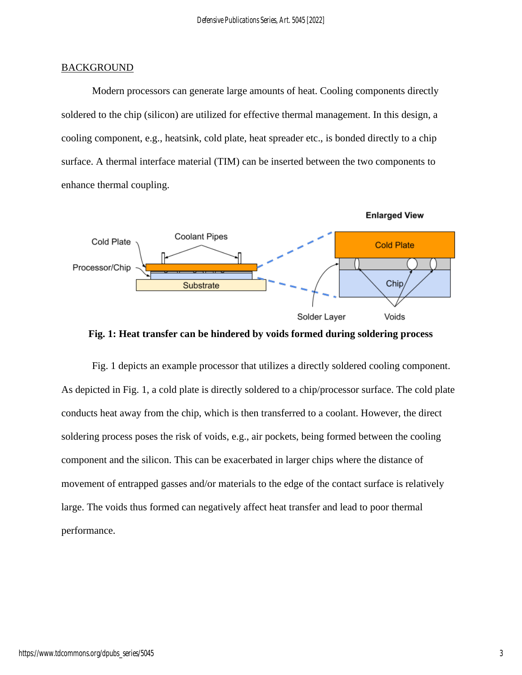## **BACKGROUND**

Modern processors can generate large amounts of heat. Cooling components directly soldered to the chip (silicon) are utilized for effective thermal management. In this design, a cooling component, e.g., heatsink, cold plate, heat spreader etc., is bonded directly to a chip surface. A thermal interface material (TIM) can be inserted between the two components to enhance thermal coupling.





Fig. 1 depicts an example processor that utilizes a directly soldered cooling component. As depicted in Fig. 1, a cold plate is directly soldered to a chip/processor surface. The cold plate conducts heat away from the chip, which is then transferred to a coolant. However, the direct soldering process poses the risk of voids, e.g., air pockets, being formed between the cooling component and the silicon. This can be exacerbated in larger chips where the distance of movement of entrapped gasses and/or materials to the edge of the contact surface is relatively large. The voids thus formed can negatively affect heat transfer and lead to poor thermal performance.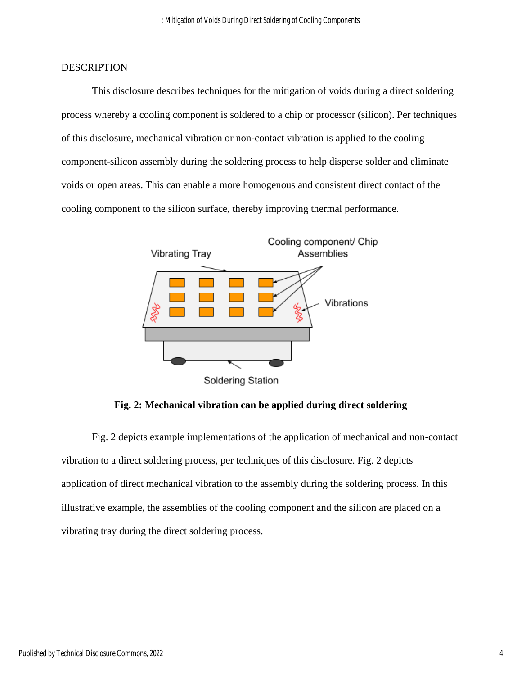### **DESCRIPTION**

This disclosure describes techniques for the mitigation of voids during a direct soldering process whereby a cooling component is soldered to a chip or processor (silicon). Per techniques of this disclosure, mechanical vibration or non-contact vibration is applied to the cooling component-silicon assembly during the soldering process to help disperse solder and eliminate voids or open areas. This can enable a more homogenous and consistent direct contact of the cooling component to the silicon surface, thereby improving thermal performance.



**Fig. 2: Mechanical vibration can be applied during direct soldering**

Fig. 2 depicts example implementations of the application of mechanical and non-contact vibration to a direct soldering process, per techniques of this disclosure. Fig. 2 depicts application of direct mechanical vibration to the assembly during the soldering process. In this illustrative example, the assemblies of the cooling component and the silicon are placed on a vibrating tray during the direct soldering process.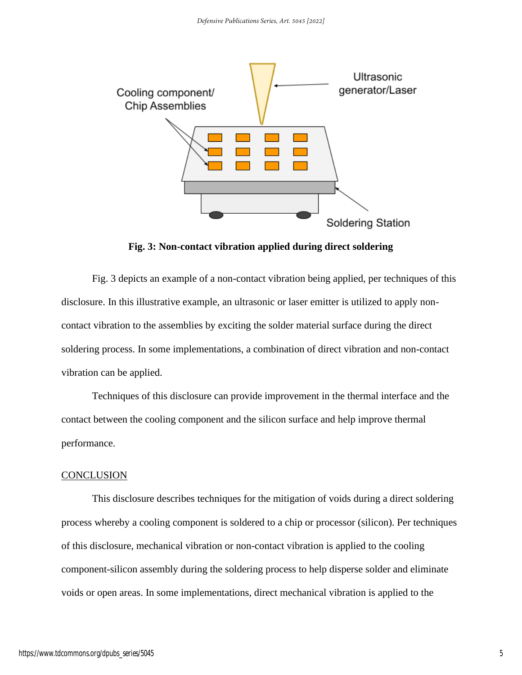

**Fig. 3: Non-contact vibration applied during direct soldering**

Fig. 3 depicts an example of a non-contact vibration being applied, per techniques of this disclosure. In this illustrative example, an ultrasonic or laser emitter is utilized to apply noncontact vibration to the assemblies by exciting the solder material surface during the direct soldering process. In some implementations, a combination of direct vibration and non-contact vibration can be applied.

Techniques of this disclosure can provide improvement in the thermal interface and the contact between the cooling component and the silicon surface and help improve thermal performance.

## **CONCLUSION**

This disclosure describes techniques for the mitigation of voids during a direct soldering process whereby a cooling component is soldered to a chip or processor (silicon). Per techniques of this disclosure, mechanical vibration or non-contact vibration is applied to the cooling component-silicon assembly during the soldering process to help disperse solder and eliminate voids or open areas. In some implementations, direct mechanical vibration is applied to the